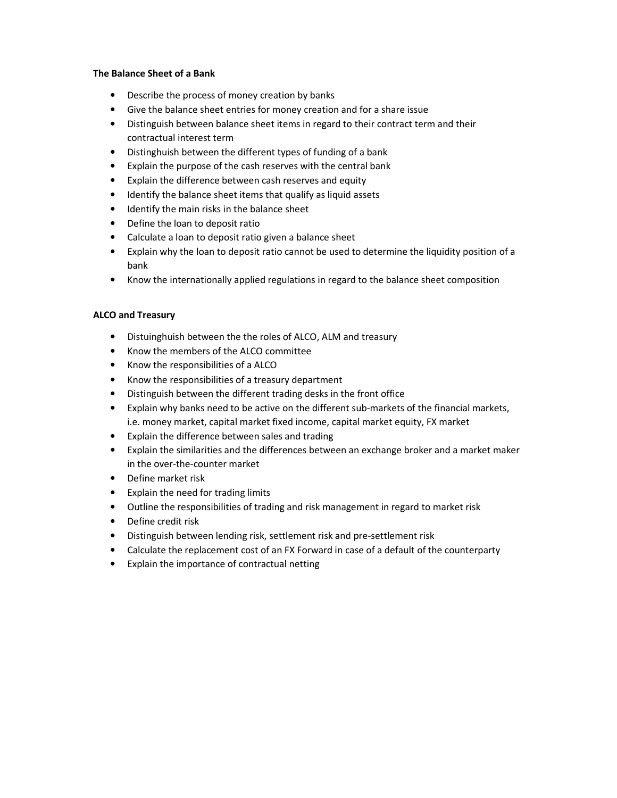#### **The Balance Sheet of a Bank**

- Describe the process of money creation by banks
- Give the balance sheet entries for money creation and for a share issue
- Distinguish between balance sheet items in regard to their contract term and their contractual interest term
- Distinghuish between the different types of funding of a bank
- Explain the purpose of the cash reserves with the central bank
- Explain the difference between cash reserves and equity
- Identify the balance sheet items that qualify as liquid assets
- Identify the main risks in the balance sheet
- Define the loan to deposit ratio
- Calculate a loan to deposit ratio given a balance sheet
- Explain why the loan to deposit ratio cannot be used to determine the liquidity position of a bank
- Know the internationally applied regulations in regard to the balance sheet composition

#### **ALCO and Treasury**

- Distuinghuish between the the roles of ALCO, ALM and treasury
- Know the members of the ALCO committee
- Know the responsibilities of a ALCO
- Know the responsibilities of a treasury department
- Distinguish between the different trading desks in the front office
- Explain why banks need to be active on the different sub-markets of the financial markets, i.e. money market, capital market fixed income, capital market equity, FX market
- Explain the difference between sales and trading
- Explain the similarities and the differences between an exchange broker and a market maker in the over-the-counter market
- Define market risk
- Explain the need for trading limits
- Outline the responsibilities of trading and risk management in regard to market risk
- Define credit risk
- Distinguish between lending risk, settlement risk and pre-settlement risk
- Calculate the replacement cost of an FX Forward in case of a default of the counterparty
- Explain the importance of contractual netting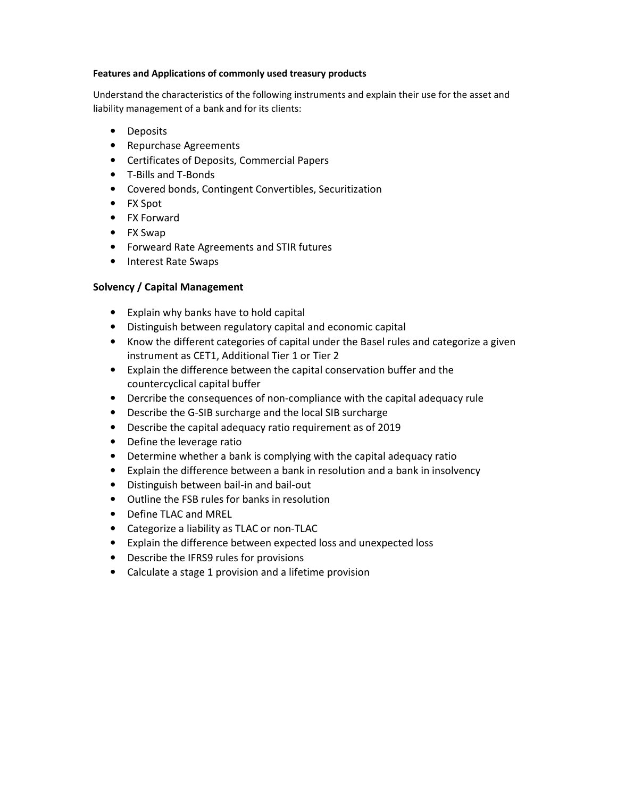#### **Features and Applications of commonly used treasury products**

Understand the characteristics of the following instruments and explain their use for the asset and liability management of a bank and for its clients:

- Deposits
- Repurchase Agreements
- Certificates of Deposits, Commercial Papers
- T-Bills and T-Bonds
- Covered bonds, Contingent Convertibles, Securitization
- FX Spot
- FX Forward
- FX Swap
- Forweard Rate Agreements and STIR futures
- Interest Rate Swaps

# **Solvency / Capital Management**

- Explain why banks have to hold capital
- Distinguish between regulatory capital and economic capital
- Know the different categories of capital under the Basel rules and categorize a given instrument as CET1, Additional Tier 1 or Tier 2
- Explain the difference between the capital conservation buffer and the countercyclical capital buffer
- Dercribe the consequences of non-compliance with the capital adequacy rule
- Describe the G-SIB surcharge and the local SIB surcharge
- Describe the capital adequacy ratio requirement as of 2019
- Define the leverage ratio
- Determine whether a bank is complying with the capital adequacy ratio
- Explain the difference between a bank in resolution and a bank in insolvency
- Distinguish between bail-in and bail-out
- Outline the FSB rules for banks in resolution
- Define TLAC and MREL
- Categorize a liability as TLAC or non-TLAC
- Explain the difference between expected loss and unexpected loss
- Describe the IFRS9 rules for provisions
- Calculate a stage 1 provision and a lifetime provision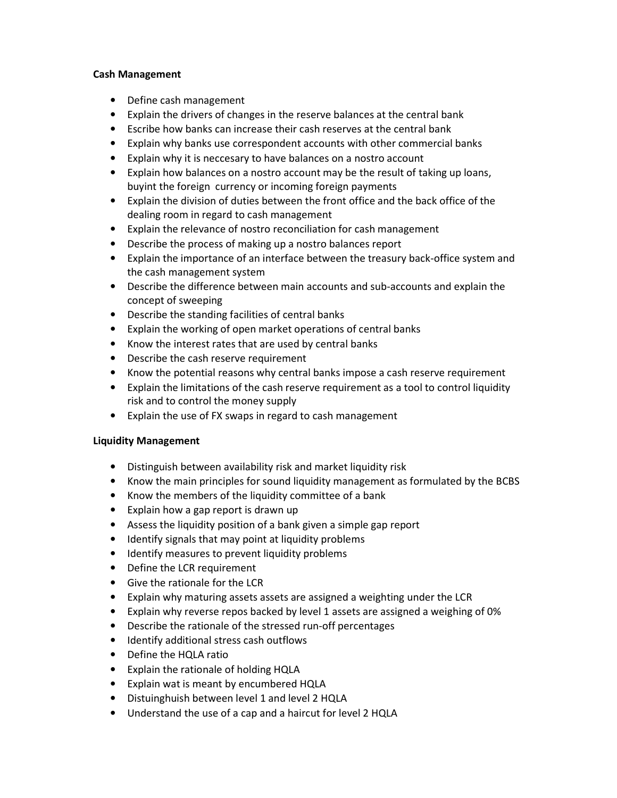## **Cash Management**

- Define cash management
- Explain the drivers of changes in the reserve balances at the central bank
- Escribe how banks can increase their cash reserves at the central bank
- Explain why banks use correspondent accounts with other commercial banks
- Explain why it is neccesary to have balances on a nostro account
- Explain how balances on a nostro account may be the result of taking up loans, buyint the foreign currency or incoming foreign payments
- Explain the division of duties between the front office and the back office of the dealing room in regard to cash management
- Explain the relevance of nostro reconciliation for cash management
- Describe the process of making up a nostro balances report
- Explain the importance of an interface between the treasury back-office system and the cash management system
- Describe the difference between main accounts and sub-accounts and explain the concept of sweeping
- Describe the standing facilities of central banks
- Explain the working of open market operations of central banks
- Know the interest rates that are used by central banks
- Describe the cash reserve requirement
- Know the potential reasons why central banks impose a cash reserve requirement
- Explain the limitations of the cash reserve requirement as a tool to control liquidity risk and to control the money supply
- Explain the use of FX swaps in regard to cash management

## **Liquidity Management**

- Distinguish between availability risk and market liquidity risk
- Know the main principles for sound liquidity management as formulated by the BCBS
- Know the members of the liquidity committee of a bank
- Explain how a gap report is drawn up
- Assess the liquidity position of a bank given a simple gap report
- Identify signals that may point at liquidity problems
- Identify measures to prevent liquidity problems
- Define the LCR requirement
- Give the rationale for the LCR
- Explain why maturing assets assets are assigned a weighting under the LCR
- Explain why reverse repos backed by level 1 assets are assigned a weighing of 0%
- Describe the rationale of the stressed run-off percentages
- Identify additional stress cash outflows
- Define the HQLA ratio
- Explain the rationale of holding HQLA
- Explain wat is meant by encumbered HQLA
- Distuinghuish between level 1 and level 2 HQLA
- Understand the use of a cap and a haircut for level 2 HQLA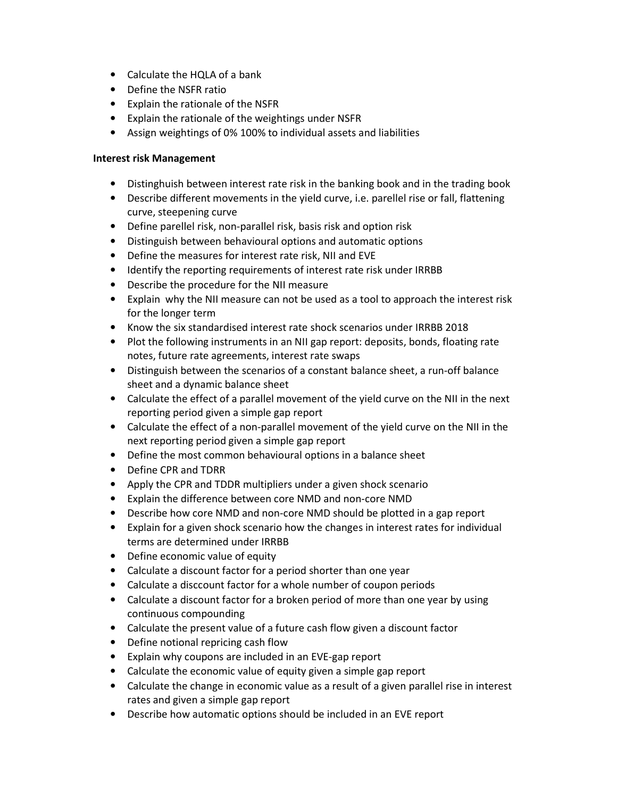- Calculate the HQLA of a bank
- Define the NSFR ratio
- Explain the rationale of the NSFR
- Explain the rationale of the weightings under NSFR
- Assign weightings of 0% 100% to individual assets and liabilities

# **Interest risk Management**

- Distinghuish between interest rate risk in the banking book and in the trading book
- Describe different movements in the yield curve, i.e. parellel rise or fall, flattening curve, steepening curve
- Define parellel risk, non-parallel risk, basis risk and option risk
- Distinguish between behavioural options and automatic options
- Define the measures for interest rate risk, NII and EVE
- Identify the reporting requirements of interest rate risk under IRRBB
- Describe the procedure for the NII measure
- Explain why the NII measure can not be used as a tool to approach the interest risk for the longer term
- Know the six standardised interest rate shock scenarios under IRRBB 2018
- Plot the following instruments in an NII gap report: deposits, bonds, floating rate notes, future rate agreements, interest rate swaps
- Distinguish between the scenarios of a constant balance sheet, a run-off balance sheet and a dynamic balance sheet
- Calculate the effect of a parallel movement of the yield curve on the NII in the next reporting period given a simple gap report
- Calculate the effect of a non-parallel movement of the yield curve on the NII in the next reporting period given a simple gap report
- Define the most common behavioural options in a balance sheet
- Define CPR and TDRR
- Apply the CPR and TDDR multipliers under a given shock scenario
- Explain the difference between core NMD and non-core NMD
- Describe how core NMD and non-core NMD should be plotted in a gap report
- Explain for a given shock scenario how the changes in interest rates for individual terms are determined under IRRBB
- Define economic value of equity
- Calculate a discount factor for a period shorter than one year
- Calculate a disccount factor for a whole number of coupon periods
- Calculate a discount factor for a broken period of more than one year by using continuous compounding
- Calculate the present value of a future cash flow given a discount factor
- Define notional repricing cash flow
- Explain why coupons are included in an EVE-gap report
- Calculate the economic value of equity given a simple gap report
- Calculate the change in economic value as a result of a given parallel rise in interest rates and given a simple gap report
- Describe how automatic options should be included in an EVE report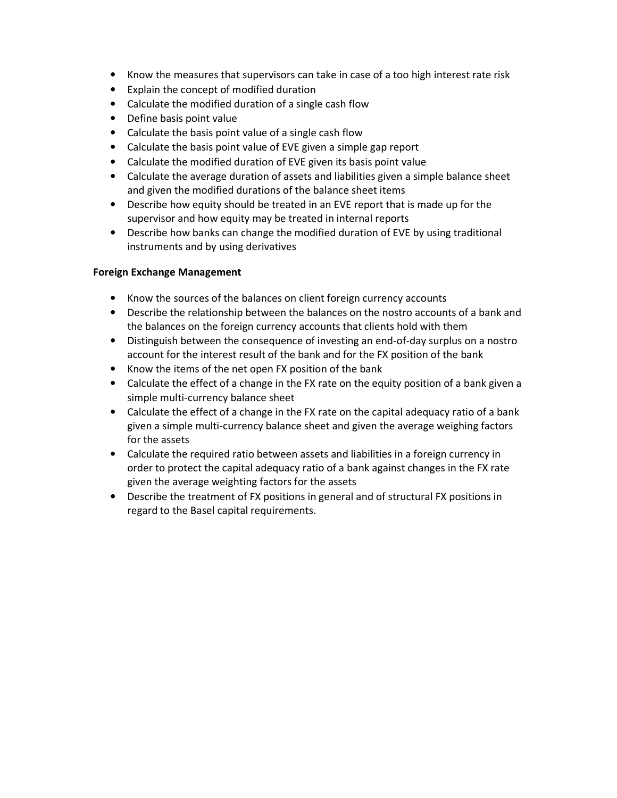- Know the measures that supervisors can take in case of a too high interest rate risk
- Explain the concept of modified duration
- Calculate the modified duration of a single cash flow
- Define basis point value
- Calculate the basis point value of a single cash flow
- Calculate the basis point value of EVE given a simple gap report
- Calculate the modified duration of EVE given its basis point value
- Calculate the average duration of assets and liabilities given a simple balance sheet and given the modified durations of the balance sheet items
- Describe how equity should be treated in an EVE report that is made up for the supervisor and how equity may be treated in internal reports
- Describe how banks can change the modified duration of EVE by using traditional instruments and by using derivatives

# **Foreign Exchange Management**

- Know the sources of the balances on client foreign currency accounts
- Describe the relationship between the balances on the nostro accounts of a bank and the balances on the foreign currency accounts that clients hold with them
- Distinguish between the consequence of investing an end-of-day surplus on a nostro account for the interest result of the bank and for the FX position of the bank
- Know the items of the net open FX position of the bank
- Calculate the effect of a change in the FX rate on the equity position of a bank given a simple multi-currency balance sheet
- Calculate the effect of a change in the FX rate on the capital adequacy ratio of a bank given a simple multi-currency balance sheet and given the average weighing factors for the assets
- Calculate the required ratio between assets and liabilities in a foreign currency in order to protect the capital adequacy ratio of a bank against changes in the FX rate given the average weighting factors for the assets
- Describe the treatment of FX positions in general and of structural FX positions in regard to the Basel capital requirements.